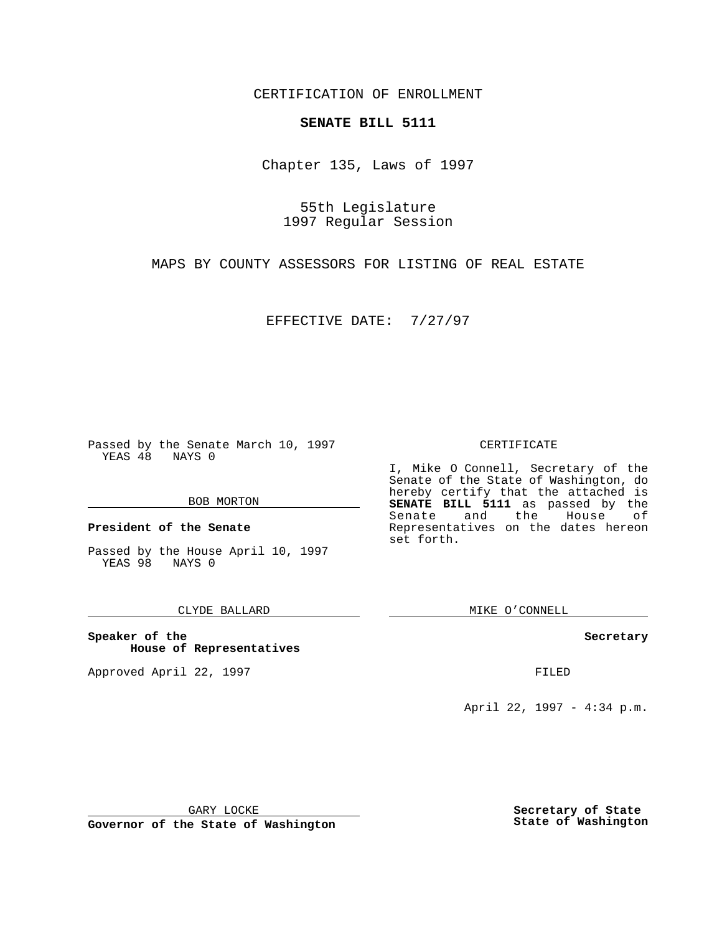CERTIFICATION OF ENROLLMENT

# **SENATE BILL 5111**

Chapter 135, Laws of 1997

55th Legislature 1997 Regular Session

MAPS BY COUNTY ASSESSORS FOR LISTING OF REAL ESTATE

EFFECTIVE DATE: 7/27/97

Passed by the Senate March 10, 1997 YEAS 48 NAYS 0

#### BOB MORTON

**President of the Senate**

Passed by the House April 10, 1997 YEAS 98 NAYS 0

## CLYDE BALLARD

**Speaker of the House of Representatives**

Approved April 22, 1997 **FILED** 

### CERTIFICATE

I, Mike O Connell, Secretary of the Senate of the State of Washington, do hereby certify that the attached is **SENATE BILL 5111** as passed by the Senate and the House of Representatives on the dates hereon set forth.

MIKE O'CONNELL

## **Secretary**

April 22, 1997 - 4:34 p.m.

GARY LOCKE

**Governor of the State of Washington**

**Secretary of State State of Washington**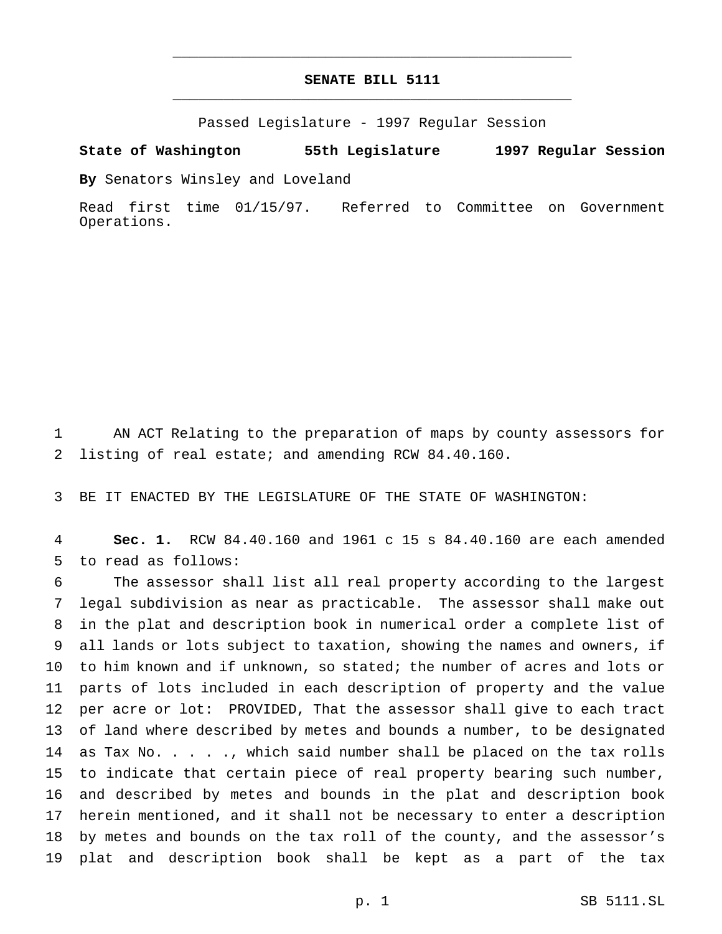# **SENATE BILL 5111** \_\_\_\_\_\_\_\_\_\_\_\_\_\_\_\_\_\_\_\_\_\_\_\_\_\_\_\_\_\_\_\_\_\_\_\_\_\_\_\_\_\_\_\_\_\_\_

\_\_\_\_\_\_\_\_\_\_\_\_\_\_\_\_\_\_\_\_\_\_\_\_\_\_\_\_\_\_\_\_\_\_\_\_\_\_\_\_\_\_\_\_\_\_\_

Passed Legislature - 1997 Regular Session

**State of Washington 55th Legislature 1997 Regular Session**

**By** Senators Winsley and Loveland

Read first time 01/15/97. Referred to Committee on Government Operations.

 AN ACT Relating to the preparation of maps by county assessors for listing of real estate; and amending RCW 84.40.160.

BE IT ENACTED BY THE LEGISLATURE OF THE STATE OF WASHINGTON:

 **Sec. 1.** RCW 84.40.160 and 1961 c 15 s 84.40.160 are each amended to read as follows:

 The assessor shall list all real property according to the largest legal subdivision as near as practicable. The assessor shall make out in the plat and description book in numerical order a complete list of all lands or lots subject to taxation, showing the names and owners, if to him known and if unknown, so stated; the number of acres and lots or parts of lots included in each description of property and the value per acre or lot: PROVIDED, That the assessor shall give to each tract of land where described by metes and bounds a number, to be designated 14 as Tax No. . . . ., which said number shall be placed on the tax rolls to indicate that certain piece of real property bearing such number, and described by metes and bounds in the plat and description book herein mentioned, and it shall not be necessary to enter a description by metes and bounds on the tax roll of the county, and the assessor's plat and description book shall be kept as a part of the tax